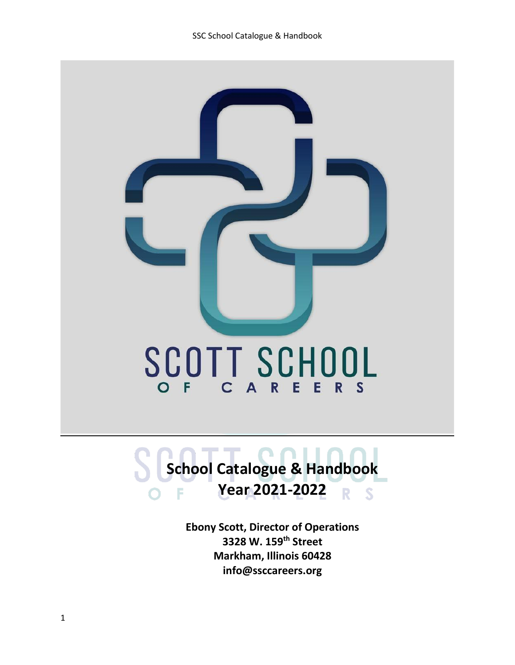

# **School Catalogue & Handbook Year 2021-2022** R  $\overline{\mathbf{s}}$

**Ebony Scott, Director of Operations 3328 W. 159th Street Markham, Illinois 60428 info@ssccareers.org**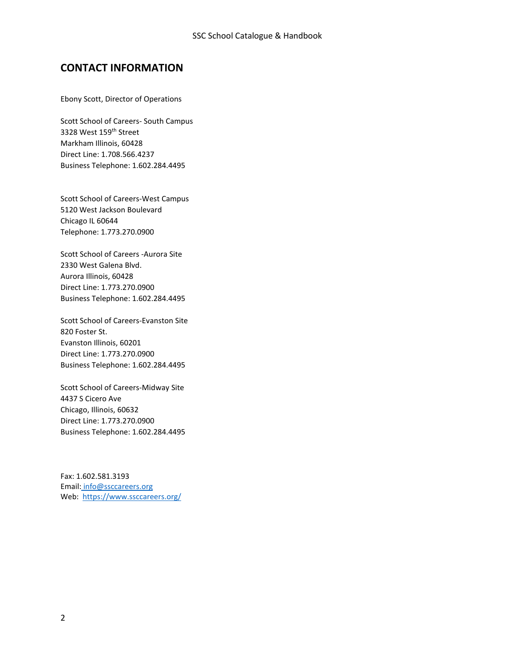# **CONTACT INFORMATION**

Ebony Scott, Director of Operations

Scott School of Careers- South Campus 3328 West 159<sup>th</sup> Street Markham Illinois, 60428 Direct Line: 1.708.566.4237 Business Telephone: 1.602.284.4495

Scott School of Careers-West Campus 5120 West Jackson Boulevard Chicago IL 60644 Telephone: 1.773.270.0900

Scott School of Careers -Aurora Site 2330 West Galena Blvd. Aurora Illinois, 60428 Direct Line: 1.773.270.0900 Business Telephone: 1.602.284.4495

Scott School of Careers-Evanston Site 820 Foster St. Evanston Illinois, 60201 Direct Line: 1.773.270.0900 Business Telephone: 1.602.284.4495

Scott School of Careers-Midway Site 4437 S Cicero Ave Chicago, Illinois, 60632 Direct Line: 1.773.270.0900 Business Telephone: 1.602.284.4495

Fax: 1.602.581.3193 Email: info@ssccareers.org Web: <https://www.ssccareers.org/>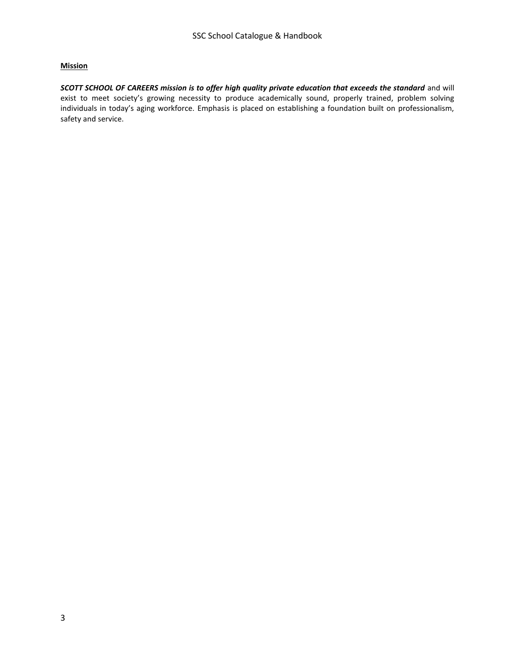## **Mission**

*SCOTT SCHOOL OF CAREERS mission is to offer high quality private education that exceeds the standard* and will exist to meet society's growing necessity to produce academically sound, properly trained, problem solving individuals in today's aging workforce. Emphasis is placed on establishing a foundation built on professionalism, safety and service.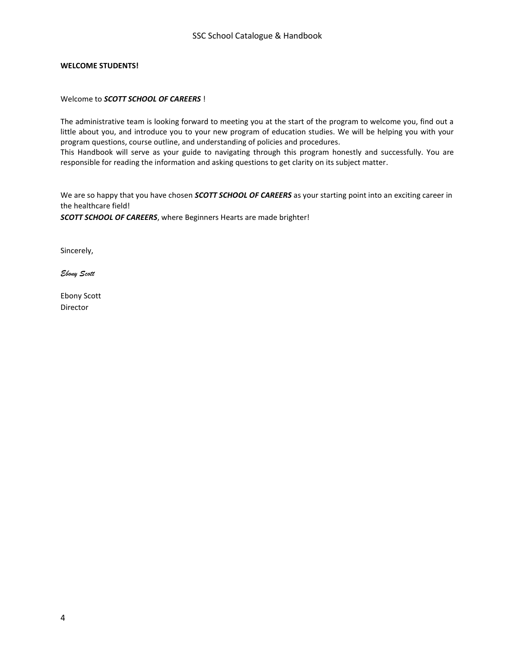## **WELCOME STUDENTS!**

## Welcome to *SCOTT SCHOOL OF CAREERS* !

The administrative team is looking forward to meeting you at the start of the program to welcome you, find out a little about you, and introduce you to your new program of education studies. We will be helping you with your program questions, course outline, and understanding of policies and procedures.

This Handbook will serve as your guide to navigating through this program honestly and successfully. You are responsible for reading the information and asking questions to get clarity on its subject matter.

We are so happy that you have chosen *SCOTT SCHOOL OF CAREERS* as your starting point into an exciting career in the healthcare field!

*SCOTT SCHOOL OF CAREERS*, where Beginners Hearts are made brighter!

Sincerely,

*Ebony Scott* 

Ebony Scott Director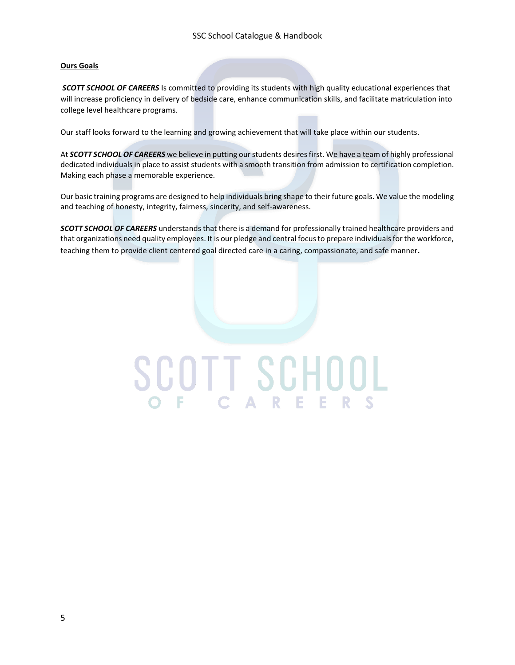## **Ours Goals**

*SCOTT SCHOOL OF CAREERS* Is committed to providing its students with high quality educational experiences that will increase proficiency in delivery of bedside care, enhance communication skills, and facilitate matriculation into college level healthcare programs.

Our staff looks forward to the learning and growing achievement that will take place within our students.

At *SCOTT SCHOOL OF CAREERS* we believe in putting our students desires first. We have a team of highly professional dedicated individuals in place to assist students with a smooth transition from admission to certification completion. Making each phase a memorable experience.

Our basic training programs are designed to help individuals bring shape to their future goals. We value the modeling and teaching of honesty, integrity, fairness, sincerity, and self-awareness.

*SCOTT SCHOOL OF CAREERS* understands that there is a demand for professionally trained healthcare providers and that organizations need quality employees. It is our pledge and central focus to prepare individuals for the workforce, teaching them to provide client centered goal directed care in a caring, compassionate, and safe manner.

# SCOTT SCHOOL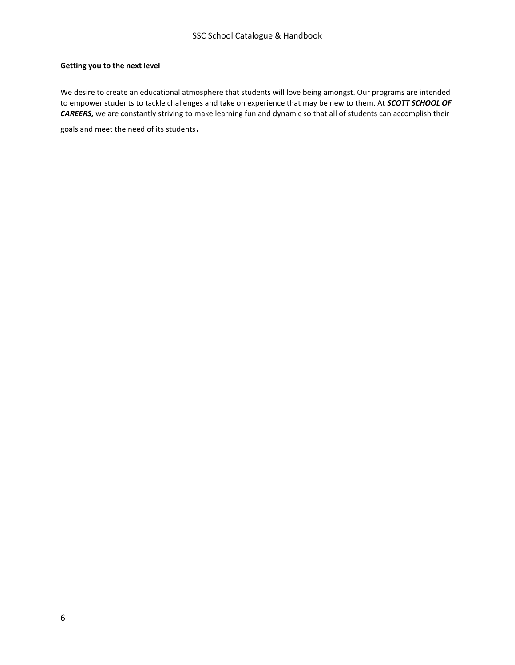## **Getting you to the next level**

We desire to create an educational atmosphere that students will love being amongst. Our programs are intended to empower students to tackle challenges and take on experience that may be new to them. At *SCOTT SCHOOL OF CAREERS,* we are constantly striving to make learning fun and dynamic so that all of students can accomplish their

goals and meet the need of its students.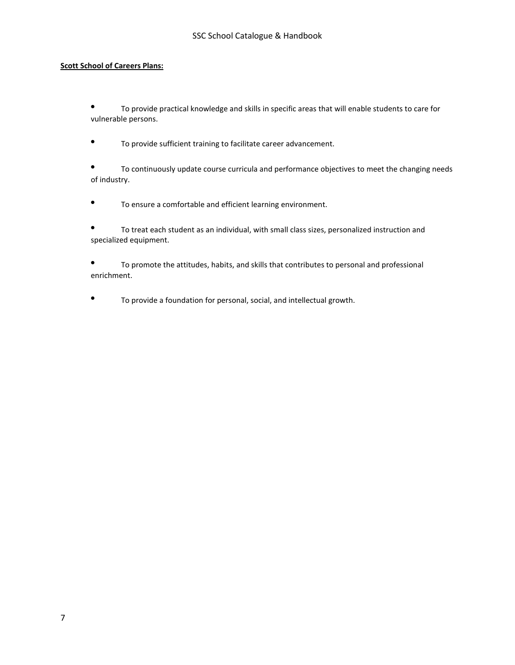## **Scott School of Careers Plans:**

• To provide practical knowledge and skills in specific areas that will enable students to care for vulnerable persons.

• To provide sufficient training to facilitate career advancement.

• To continuously update course curricula and performance objectives to meet the changing needs of industry.

• To ensure a comfortable and efficient learning environment.

• To treat each student as an individual, with small class sizes, personalized instruction and specialized equipment.

• To promote the attitudes, habits, and skills that contributes to personal and professional enrichment.

• To provide a foundation for personal, social, and intellectual growth.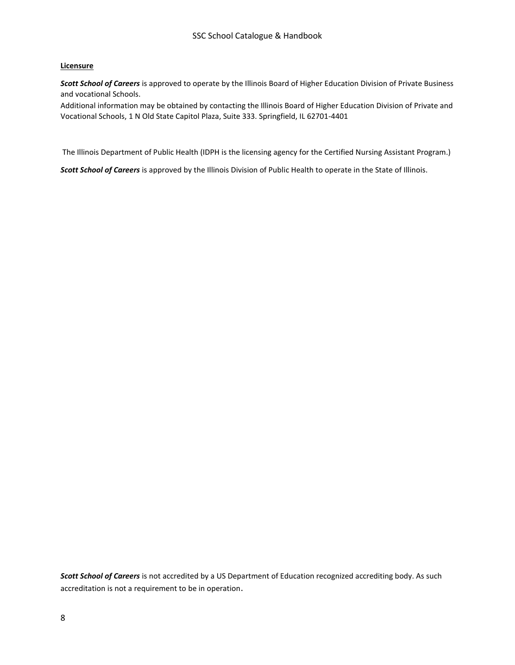## **Licensure**

*Scott School of Careers* is approved to operate by the Illinois Board of Higher Education Division of Private Business and vocational Schools.

Additional information may be obtained by contacting the Illinois Board of Higher Education Division of Private and Vocational Schools, 1 N Old State Capitol Plaza, Suite 333. Springfield, IL 62701-4401

The Illinois Department of Public Health (IDPH is the licensing agency for the Certified Nursing Assistant Program.)

*Scott School of Careers* is approved by the Illinois Division of Public Health to operate in the State of Illinois.

*Scott School of Careers* is not accredited by a US Department of Education recognized accrediting body. As such accreditation is not a requirement to be in operation.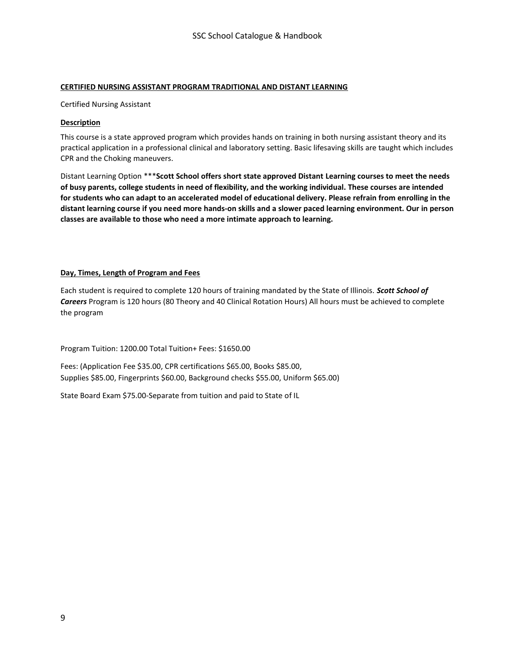## **CERTIFIED NURSING ASSISTANT PROGRAM TRADITIONAL AND DISTANT LEARNING**

Certified Nursing Assistant

## **Description**

This course is a state approved program which provides hands on training in both nursing assistant theory and its practical application in a professional clinical and laboratory setting. Basic lifesaving skills are taught which includes CPR and the Choking maneuvers.

Distant Learning Option \*\*\***Scott School offers short state approved Distant Learning courses to meet the needs of busy parents, college students in need of flexibility, and the working individual. These courses are intended for students who can adapt to an accelerated model of educational delivery. Please refrain from enrolling in the distant learning course if you need more hands-on skills and a slower paced learning environment. Our in person classes are available to those who need a more intimate approach to learning.** 

## **Day, Times, Length of Program and Fees**

Each student is required to complete 120 hours of training mandated by the State of Illinois. *Scott School of Careers* Program is 120 hours (80 Theory and 40 Clinical Rotation Hours) All hours must be achieved to complete the program

Program Tuition: 1200.00 Total Tuition+ Fees: \$1650.00

Fees: (Application Fee \$35.00, CPR certifications \$65.00, Books \$85.00, Supplies \$85.00, Fingerprints \$60.00, Background checks \$55.00, Uniform \$65.00)

State Board Exam \$75.00-Separate from tuition and paid to State of IL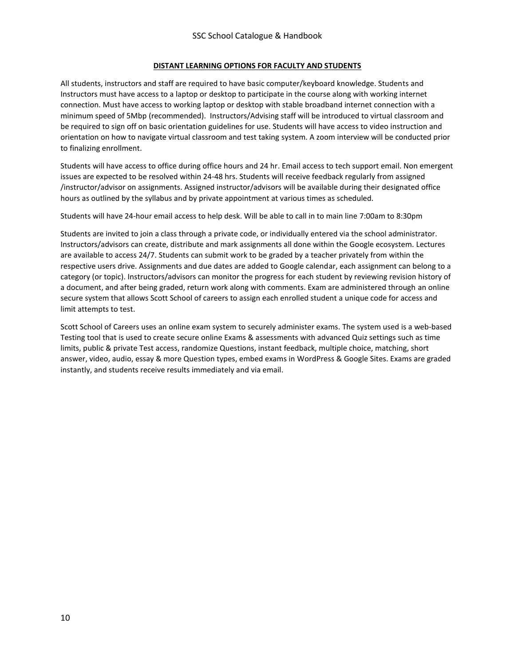## **DISTANT LEARNING OPTIONS FOR FACULTY AND STUDENTS**

All students, instructors and staff are required to have basic computer/keyboard knowledge. Students and Instructors must have access to a laptop or desktop to participate in the course along with working internet connection. Must have access to working laptop or desktop with stable broadband internet connection with a minimum speed of 5Mbp (recommended). Instructors/Advising staff will be introduced to virtual classroom and be required to sign off on basic orientation guidelines for use. Students will have access to video instruction and orientation on how to navigate virtual classroom and test taking system. A zoom interview will be conducted prior to finalizing enrollment.

Students will have access to office during office hours and 24 hr. Email access to tech support email. Non emergent issues are expected to be resolved within 24-48 hrs. Students will receive feedback regularly from assigned /instructor/advisor on assignments. Assigned instructor/advisors will be available during their designated office hours as outlined by the syllabus and by private appointment at various times as scheduled.

Students will have 24-hour email access to help desk. Will be able to call in to main line 7:00am to 8:30pm

Students are invited to join a class through a private code, or individually entered via the school administrator. Instructors/advisors can create, distribute and mark assignments all done within the Google ecosystem. Lectures are available to access 24/7. Students can submit work to be graded by a teacher privately from within the respective users drive. Assignments and due dates are added to Google calendar, each assignment can belong to a category (or topic). Instructors/advisors can monitor the progress for each student by reviewing revision history of a document, and after being graded, return work along with comments. Exam are administered through an online secure system that allows Scott School of careers to assign each enrolled student a unique code for access and limit attempts to test.

Scott School of Careers uses an online exam system to securely administer exams. The system used is a web-based Testing tool that is used to create secure online Exams & assessments with advanced Quiz settings such as time limits, public & private Test access, randomize Questions, instant feedback, multiple choice, matching, short answer, video, audio, essay & more Question types, embed exams in WordPress & Google Sites. Exams are graded instantly, and students receive results immediately and via email.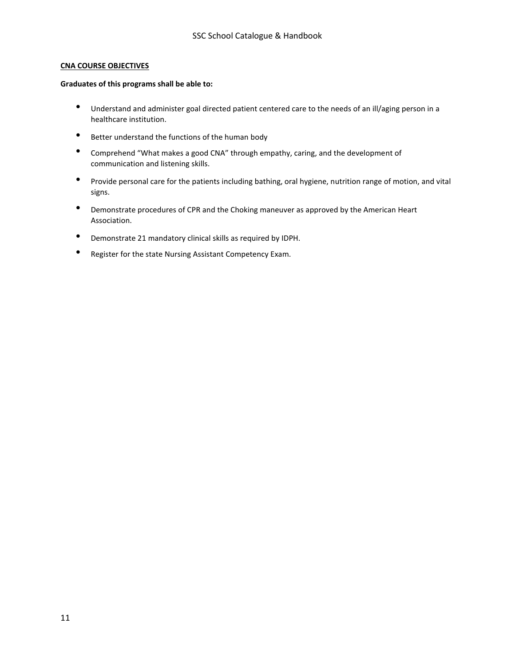#### **CNA COURSE OBJECTIVES**

#### **Graduates of this programs shall be able to:**

- Understand and administer goal directed patient centered care to the needs of an ill/aging person in a healthcare institution.
- Better understand the functions of the human body
- Comprehend "What makes a good CNA" through empathy, caring, and the development of communication and listening skills.
- Provide personal care for the patients including bathing, oral hygiene, nutrition range of motion, and vital signs.
- Demonstrate procedures of CPR and the Choking maneuver as approved by the American Heart Association.
- Demonstrate 21 mandatory clinical skills as required by IDPH.
- Register for the state Nursing Assistant Competency Exam.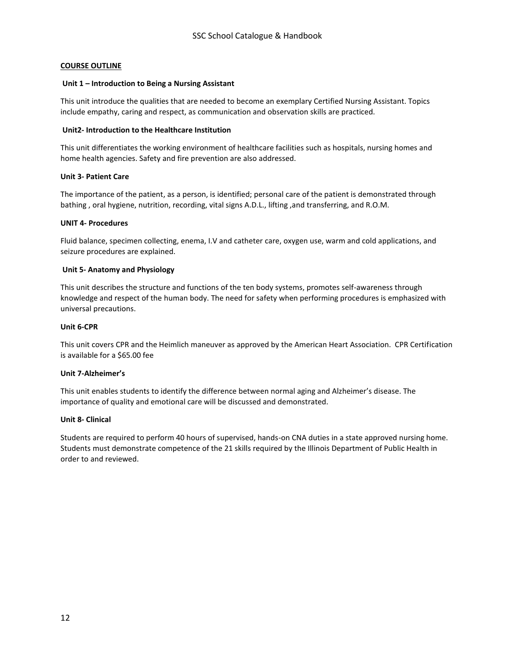## **COURSE OUTLINE**

#### **Unit 1 – Introduction to Being a Nursing Assistant**

This unit introduce the qualities that are needed to become an exemplary Certified Nursing Assistant. Topics include empathy, caring and respect, as communication and observation skills are practiced.

#### **Unit2- Introduction to the Healthcare Institution**

This unit differentiates the working environment of healthcare facilities such as hospitals, nursing homes and home health agencies. Safety and fire prevention are also addressed.

#### **Unit 3- Patient Care**

The importance of the patient, as a person, is identified; personal care of the patient is demonstrated through bathing, oral hygiene, nutrition, recording, vital signs A.D.L., lifting, and transferring, and R.O.M.

#### **UNIT 4- Procedures**

Fluid balance, specimen collecting, enema, I.V and catheter care, oxygen use, warm and cold applications, and seizure procedures are explained.

#### **Unit 5- Anatomy and Physiology**

This unit describes the structure and functions of the ten body systems, promotes self-awareness through knowledge and respect of the human body. The need for safety when performing procedures is emphasized with universal precautions.

#### **Unit 6-CPR**

This unit covers CPR and the Heimlich maneuver as approved by the American Heart Association. CPR Certification is available for a \$65.00 fee

## **Unit 7-Alzheimer's**

This unit enables students to identify the difference between normal aging and Alzheimer's disease. The importance of quality and emotional care will be discussed and demonstrated.

#### **Unit 8- Clinical**

Students are required to perform 40 hours of supervised, hands-on CNA duties in a state approved nursing home. Students must demonstrate competence of the 21 skills required by the Illinois Department of Public Health in order to and reviewed.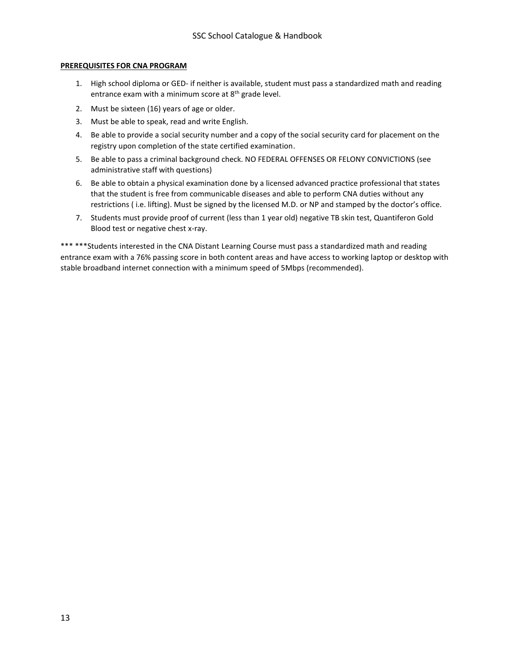#### **PREREQUISITES FOR CNA PROGRAM**

- 1. High school diploma or GED- if neither is available, student must pass a standardized math and reading entrance exam with a minimum score at  $8<sup>th</sup>$  grade level.
- 2. Must be sixteen (16) years of age or older.
- 3. Must be able to speak, read and write English.
- 4. Be able to provide a social security number and a copy of the social security card for placement on the registry upon completion of the state certified examination.
- 5. Be able to pass a criminal background check. NO FEDERAL OFFENSES OR FELONY CONVICTIONS (see administrative staff with questions)
- 6. Be able to obtain a physical examination done by a licensed advanced practice professional that states that the student is free from communicable diseases and able to perform CNA duties without any restrictions ( i.e. lifting). Must be signed by the licensed M.D. or NP and stamped by the doctor's office.
- 7. Students must provide proof of current (less than 1 year old) negative TB skin test, Quantiferon Gold Blood test or negative chest x-ray.

\*\*\* \*\*\*Students interested in the CNA Distant Learning Course must pass a standardized math and reading entrance exam with a 76% passing score in both content areas and have access to working laptop or desktop with stable broadband internet connection with a minimum speed of 5Mbps (recommended).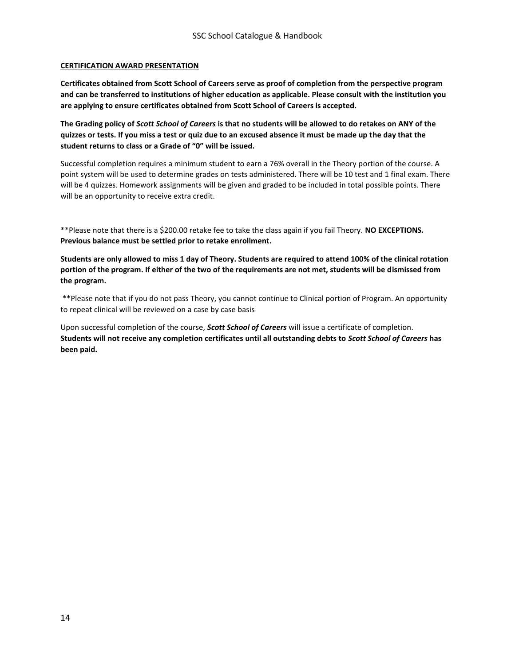## **CERTIFICATION AWARD PRESENTATION**

**Certificates obtained from Scott School of Careers serve as proof of completion from the perspective program and can be transferred to institutions of higher education as applicable. Please consult with the institution you are applying to ensure certificates obtained from Scott School of Careers is accepted.** 

**The Grading policy of** *Scott School of Careers* **is that no students will be allowed to do retakes on ANY of the quizzes or tests. If you miss a test or quiz due to an excused absence it must be made up the day that the student returns to class or a Grade of "0" will be issued.** 

Successful completion requires a minimum student to earn a 76% overall in the Theory portion of the course. A point system will be used to determine grades on tests administered. There will be 10 test and 1 final exam. There will be 4 quizzes. Homework assignments will be given and graded to be included in total possible points. There will be an opportunity to receive extra credit.

\*\*Please note that there is a \$200.00 retake fee to take the class again if you fail Theory. **NO EXCEPTIONS. Previous balance must be settled prior to retake enrollment.**

**Students are only allowed to miss 1 day of Theory. Students are required to attend 100% of the clinical rotation portion of the program. If either of the two of the requirements are not met, students will be dismissed from the program.** 

\*\*Please note that if you do not pass Theory, you cannot continue to Clinical portion of Program. An opportunity to repeat clinical will be reviewed on a case by case basis

Upon successful completion of the course, *Scott School of Careers* will issue a certificate of completion. **Students will not receive any completion certificates until all outstanding debts to** *Scott School of Careers* **has been paid.**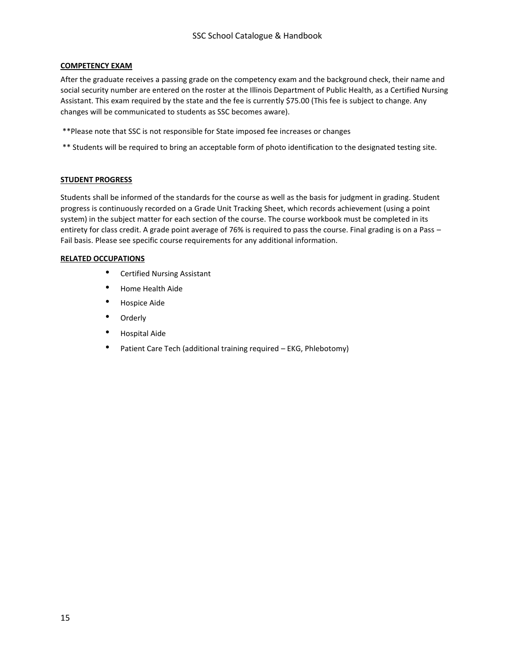## **COMPETENCY EXAM**

After the graduate receives a passing grade on the competency exam and the background check, their name and social security number are entered on the roster at the Illinois Department of Public Health, as a Certified Nursing Assistant. This exam required by the state and the fee is currently \$75.00 (This fee is subject to change. Any changes will be communicated to students as SSC becomes aware).

- \*\*Please note that SSC is not responsible for State imposed fee increases or changes
- \*\* Students will be required to bring an acceptable form of photo identification to the designated testing site.

## **STUDENT PROGRESS**

Students shall be informed of the standards for the course as well as the basis for judgment in grading. Student progress is continuously recorded on a Grade Unit Tracking Sheet, which records achievement (using a point system) in the subject matter for each section of the course. The course workbook must be completed in its entirety for class credit. A grade point average of 76% is required to pass the course. Final grading is on a Pass – Fail basis. Please see specific course requirements for any additional information.

## **RELATED OCCUPATIONS**

- Certified Nursing Assistant
- Home Health Aide
- Hospice Aide
- Orderly
- Hospital Aide
- Patient Care Tech (additional training required EKG, Phlebotomy)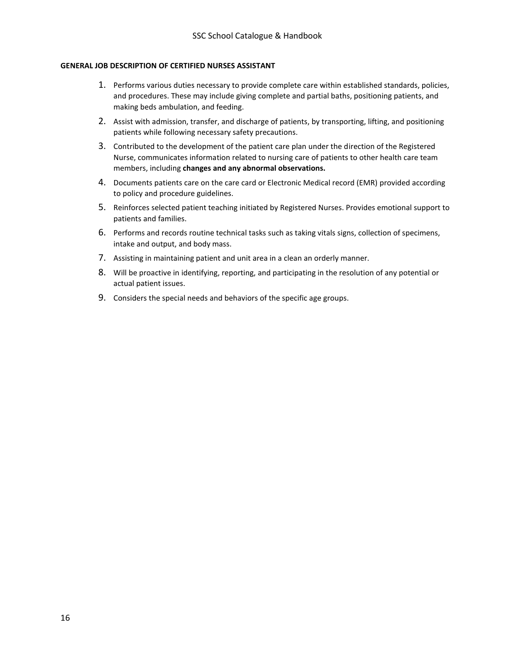#### **GENERAL JOB DESCRIPTION OF CERTIFIED NURSES ASSISTANT**

- 1. Performs various duties necessary to provide complete care within established standards, policies, and procedures. These may include giving complete and partial baths, positioning patients, and making beds ambulation, and feeding.
- 2. Assist with admission, transfer, and discharge of patients, by transporting, lifting, and positioning patients while following necessary safety precautions.
- 3. Contributed to the development of the patient care plan under the direction of the Registered Nurse, communicates information related to nursing care of patients to other health care team members, including **changes and any abnormal observations.**
- 4. Documents patients care on the care card or Electronic Medical record (EMR) provided according to policy and procedure guidelines.
- 5. Reinforces selected patient teaching initiated by Registered Nurses. Provides emotional support to patients and families.
- 6. Performs and records routine technical tasks such as taking vitals signs, collection of specimens, intake and output, and body mass.
- 7. Assisting in maintaining patient and unit area in a clean an orderly manner.
- 8. Will be proactive in identifying, reporting, and participating in the resolution of any potential or actual patient issues.
- 9. Considers the special needs and behaviors of the specific age groups.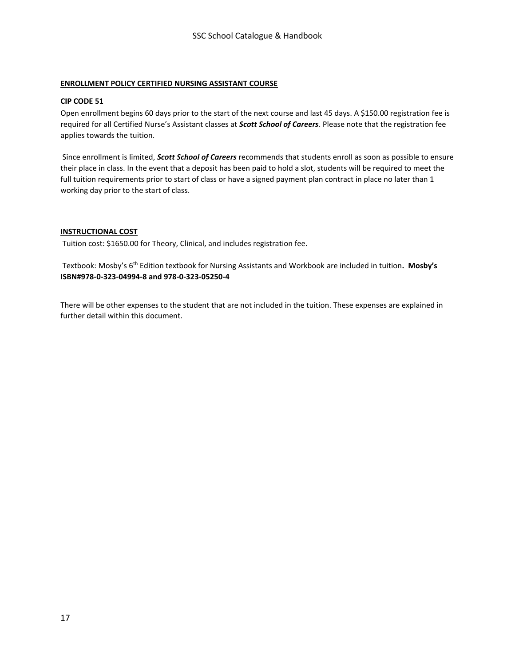## **ENROLLMENT POLICY CERTIFIED NURSING ASSISTANT COURSE**

#### **CIP CODE 51**

Open enrollment begins 60 days prior to the start of the next course and last 45 days. A \$150.00 registration fee is required for all Certified Nurse's Assistant classes at *Scott School of Careers*. Please note that the registration fee applies towards the tuition.

Since enrollment is limited, *Scott School of Careers* recommends that students enroll as soon as possible to ensure their place in class. In the event that a deposit has been paid to hold a slot, students will be required to meet the full tuition requirements prior to start of class or have a signed payment plan contract in place no later than 1 working day prior to the start of class.

## **INSTRUCTIONAL COST**

Tuition cost: \$1650.00 for Theory, Clinical, and includes registration fee.

Textbook: Mosby's 6th Edition textbook for Nursing Assistants and Workbook are included in tuition**. Mosby's ISBN#978-0-323-04994-8 and 978-0-323-05250-4** 

There will be other expenses to the student that are not included in the tuition. These expenses are explained in further detail within this document.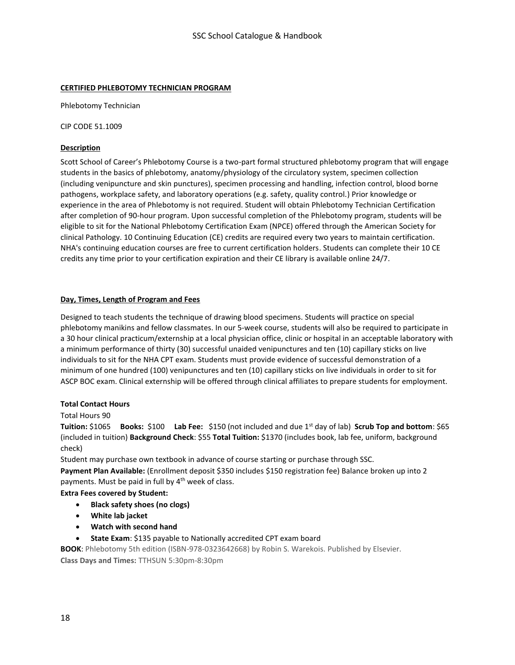## **CERTIFIED PHLEBOTOMY TECHNICIAN PROGRAM**

Phlebotomy Technician

CIP CODE 51.1009

## **Description**

Scott School of Career's Phlebotomy Course is a two-part formal structured phlebotomy program that will engage students in the basics of phlebotomy, anatomy/physiology of the circulatory system, specimen collection (including venipuncture and skin punctures), specimen processing and handling, infection control, blood borne pathogens, workplace safety, and laboratory operations (e.g. safety, quality control.) Prior knowledge or experience in the area of Phlebotomy is not required. Student will obtain Phlebotomy Technician Certification after completion of 90-hour program. Upon successful completion of the Phlebotomy program, students will be eligible to sit for the National Phlebotomy Certification Exam (NPCE) offered through the American Society for clinical Pathology. 10 Continuing Education (CE) credits are required every two years to maintain certification. NHA's continuing education courses are free to current certification holders. Students can complete their 10 CE credits any time prior to your certification expiration and their CE library is available online 24/7.

## **Day, Times, Length of Program and Fees**

Designed to teach students the technique of drawing blood specimens. Students will practice on special phlebotomy manikins and fellow classmates. In our 5-week course, students will also be required to participate in a 30 hour clinical practicum/externship at a local physician office, clinic or hospital in an acceptable laboratory with a minimum performance of thirty (30) successful unaided venipunctures and ten (10) capillary sticks on live individuals to sit for the NHA CPT exam. Students must provide evidence of successful demonstration of a minimum of one hundred (100) venipunctures and ten (10) capillary sticks on live individuals in order to sit for ASCP BOC exam. Clinical externship will be offered through clinical affiliates to prepare students for employment.

## **Total Contact Hours**

## Total Hours 90

**Tuition:** \$1065 **Books:** \$100 **Lab Fee:** \$150 (not included and due 1st day of lab) **Scrub Top and bottom**: \$65 (included in tuition) **Background Check**: \$55 **Total Tuition:** \$1370 (includes book, lab fee, uniform, background check)

Student may purchase own textbook in advance of course starting or purchase through SSC. **Payment Plan Available:** (Enrollment deposit \$350 includes \$150 registration fee) Balance broken up into 2 payments. Must be paid in full by 4<sup>th</sup> week of class.

## **Extra Fees covered by Student:**

- **Black safety shoes (no clogs)**
- **White lab jacket**
- **Watch with second hand**
- **State Exam:** \$135 payable to Nationally accredited CPT exam board

**BOOK**: Phlebotomy 5th edition (ISBN-978-0323642668) by Robin S. Warekois. Published by Elsevier. **Class Days and Times:** TTHSUN 5:30pm-8:30pm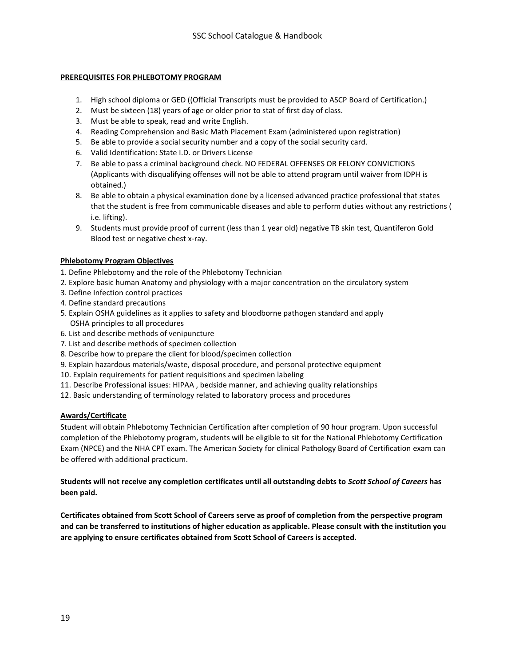## **PREREQUISITES FOR PHLEBOTOMY PROGRAM**

- 1. High school diploma or GED ((Official Transcripts must be provided to ASCP Board of Certification.)
- 2. Must be sixteen (18) years of age or older prior to stat of first day of class.
- 3. Must be able to speak, read and write English.
- 4. Reading Comprehension and Basic Math Placement Exam (administered upon registration)
- 5. Be able to provide a social security number and a copy of the social security card.
- 6. Valid Identification: State I.D. or Drivers License
- 7. Be able to pass a criminal background check. NO FEDERAL OFFENSES OR FELONY CONVICTIONS (Applicants with disqualifying offenses will not be able to attend program until waiver from IDPH is obtained.)
- 8. Be able to obtain a physical examination done by a licensed advanced practice professional that states that the student is free from communicable diseases and able to perform duties without any restrictions ( i.e. lifting).
- 9. Students must provide proof of current (less than 1 year old) negative TB skin test, Quantiferon Gold Blood test or negative chest x-ray.

## **Phlebotomy Program Objectives**

- 1. Define Phlebotomy and the role of the Phlebotomy Technician
- 2. Explore basic human Anatomy and physiology with a major concentration on the circulatory system
- 3. Define Infection control practices
- 4. Define standard precautions
- 5. Explain OSHA guidelines as it applies to safety and bloodborne pathogen standard and apply OSHA principles to all procedures
- 6. List and describe methods of venipuncture
- 7. List and describe methods of specimen collection
- 8. Describe how to prepare the client for blood/specimen collection
- 9. Explain hazardous materials/waste, disposal procedure, and personal protective equipment
- 10. Explain requirements for patient requisitions and specimen labeling
- 11. Describe Professional issues: HIPAA , bedside manner, and achieving quality relationships
- 12. Basic understanding of terminology related to laboratory process and procedures

## **Awards/Certificate**

Student will obtain Phlebotomy Technician Certification after completion of 90 hour program. Upon successful completion of the Phlebotomy program, students will be eligible to sit for the National Phlebotomy Certification Exam (NPCE) and the NHA CPT exam. The American Society for clinical Pathology Board of Certification exam can be offered with additional practicum.

## **Students will not receive any completion certificates until all outstanding debts to** *Scott School of Careers* **has been paid.**

**Certificates obtained from Scott School of Careers serve as proof of completion from the perspective program and can be transferred to institutions of higher education as applicable. Please consult with the institution you are applying to ensure certificates obtained from Scott School of Careers is accepted.**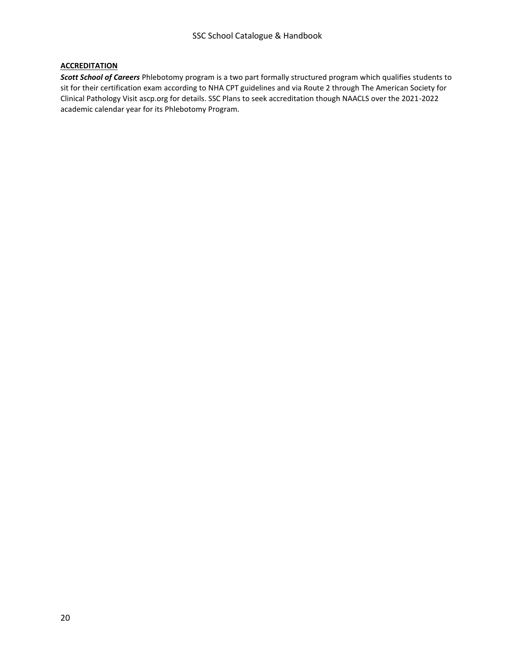## **ACCREDITATION**

*Scott School of Careers* Phlebotomy program is a two part formally structured program which qualifies students to sit for their certification exam according to NHA CPT guidelines and via Route 2 through The American Society for Clinical Pathology Visit ascp.org for details. SSC Plans to seek accreditation though NAACLS over the 2021-2022 academic calendar year for its Phlebotomy Program.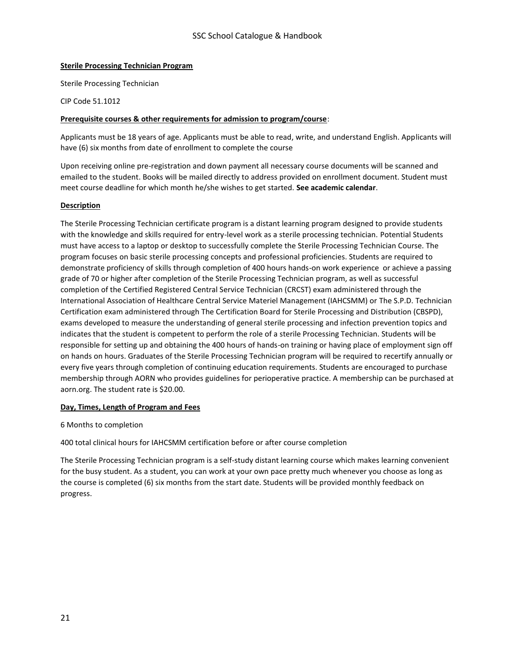#### **Sterile Processing Technician Program**

Sterile Processing Technician

CIP Code 51.1012

#### **Prerequisite courses & other requirements for admission to program/course**:

Applicants must be 18 years of age. Applicants must be able to read, write, and understand English. Applicants will have (6) six months from date of enrollment to complete the course

Upon receiving online pre-registration and down payment all necessary course documents will be scanned and emailed to the student. Books will be mailed directly to address provided on enrollment document. Student must meet course deadline for which month he/she wishes to get started. **See academic calendar**.

#### **Description**

The Sterile Processing Technician certificate program is a distant learning program designed to provide students with the knowledge and skills required for entry-level work as a sterile processing technician. Potential Students must have access to a laptop or desktop to successfully complete the Sterile Processing Technician Course. The program focuses on basic sterile processing concepts and professional proficiencies. Students are required to demonstrate proficiency of skills through completion of 400 hours hands-on work experience or achieve a passing grade of 70 or higher after completion of the Sterile Processing Technician program, as well as successful completion of the Certified Registered Central Service Technician (CRCST) exam administered through the International Association of Healthcare Central Service Materiel Management (IAHCSMM) or The S.P.D. Technician Certification exam administered through The Certification Board for Sterile Processing and Distribution (CBSPD), exams developed to measure the understanding of general sterile processing and infection prevention topics and indicates that the student is competent to perform the role of a sterile Processing Technician. Students will be responsible for setting up and obtaining the 400 hours of hands-on training or having place of employment sign off on hands on hours. Graduates of the Sterile Processing Technician program will be required to recertify annually or every five years through completion of continuing education requirements. Students are encouraged to purchase membership through AORN who provides guidelines for perioperative practice. A membership can be purchased at aorn.org. The student rate is \$20.00.

## **Day, Times, Length of Program and Fees**

6 Months to completion

400 total clinical hours for IAHCSMM certification before or after course completion

The Sterile Processing Technician program is a self-study distant learning course which makes learning convenient for the busy student. As a student, you can work at your own pace pretty much whenever you choose as long as the course is completed (6) six months from the start date. Students will be provided monthly feedback on progress.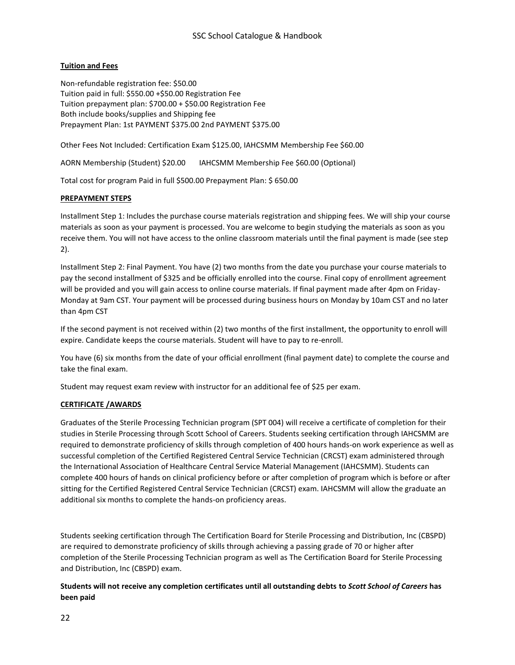## **Tuition and Fees**

Non-refundable registration fee: \$50.00 Tuition paid in full: \$550.00 +\$50.00 Registration Fee Tuition prepayment plan: \$700.00 + \$50.00 Registration Fee Both include books/supplies and Shipping fee Prepayment Plan: 1st PAYMENT \$375.00 2nd PAYMENT \$375.00

Other Fees Not Included: Certification Exam \$125.00, IAHCSMM Membership Fee \$60.00

AORN Membership (Student) \$20.00 IAHCSMM Membership Fee \$60.00 (Optional)

Total cost for program Paid in full \$500.00 Prepayment Plan: \$ 650.00

## **PREPAYMENT STEPS**

Installment Step 1: Includes the purchase course materials registration and shipping fees. We will ship your course materials as soon as your payment is processed. You are welcome to begin studying the materials as soon as you receive them. You will not have access to the online classroom materials until the final payment is made (see step 2).

Installment Step 2: Final Payment. You have (2) two months from the date you purchase your course materials to pay the second installment of \$325 and be officially enrolled into the course. Final copy of enrollment agreement will be provided and you will gain access to online course materials. If final payment made after 4pm on Friday-Monday at 9am CST. Your payment will be processed during business hours on Monday by 10am CST and no later than 4pm CST

If the second payment is not received within (2) two months of the first installment, the opportunity to enroll will expire. Candidate keeps the course materials. Student will have to pay to re-enroll.

You have (6) six months from the date of your official enrollment (final payment date) to complete the course and take the final exam.

Student may request exam review with instructor for an additional fee of \$25 per exam.

## **CERTIFICATE /AWARDS**

Graduates of the Sterile Processing Technician program (SPT 004) will receive a certificate of completion for their studies in Sterile Processing through Scott School of Careers. Students seeking certification through IAHCSMM are required to demonstrate proficiency of skills through completion of 400 hours hands-on work experience as well as successful completion of the Certified Registered Central Service Technician (CRCST) exam administered through the International Association of Healthcare Central Service Material Management (IAHCSMM). Students can complete 400 hours of hands on clinical proficiency before or after completion of program which is before or after sitting for the Certified Registered Central Service Technician (CRCST) exam. IAHCSMM will allow the graduate an additional six months to complete the hands-on proficiency areas.

Students seeking certification through The Certification Board for Sterile Processing and Distribution, Inc (CBSPD) are required to demonstrate proficiency of skills through achieving a passing grade of 70 or higher after completion of the Sterile Processing Technician program as well as The Certification Board for Sterile Processing and Distribution, Inc (CBSPD) exam.

## **Students will not receive any completion certificates until all outstanding debts to** *Scott School of Careers* **has been paid**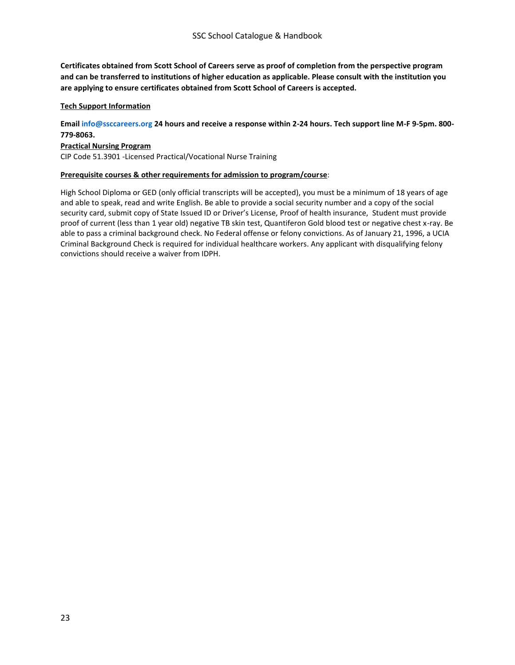**Certificates obtained from Scott School of Careers serve as proof of completion from the perspective program and can be transferred to institutions of higher education as applicable. Please consult with the institution you are applying to ensure certificates obtained from Scott School of Careers is accepted.** 

## **Tech Support Information**

**Email [info@ssccareers.org](mailto:info@ssccareers.org) 24 hours and receive a response within 2-24 hours. Tech support line M-F 9-5pm. 800- 779-8063.**

## **Practical Nursing Program**

CIP Code 51.3901 -Licensed Practical/Vocational Nurse Training

#### **Prerequisite courses & other requirements for admission to program/course**:

High School Diploma or GED (only official transcripts will be accepted), you must be a minimum of 18 years of age and able to speak, read and write English. Be able to provide a social security number and a copy of the social security card, submit copy of State Issued ID or Driver's License, Proof of health insurance, Student must provide proof of current (less than 1 year old) negative TB skin test, Quantiferon Gold blood test or negative chest x-ray. Be able to pass a criminal background check. No Federal offense or felony convictions. As of January 21, 1996, a UCIA Criminal Background Check is required for individual healthcare workers. Any applicant with disqualifying felony convictions should receive a waiver from IDPH.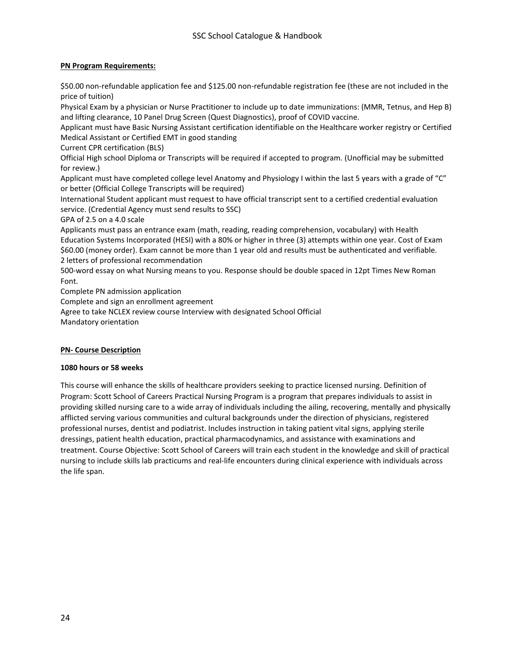## **PN Program Requirements:**

\$50.00 non-refundable application fee and \$125.00 non-refundable registration fee (these are not included in the price of tuition)

Physical Exam by a physician or Nurse Practitioner to include up to date immunizations: (MMR, Tetnus, and Hep B) and lifting clearance, 10 Panel Drug Screen (Quest Diagnostics), proof of COVID vaccine.

Applicant must have Basic Nursing Assistant certification identifiable on the Healthcare worker registry or Certified Medical Assistant or Certified EMT in good standing

Current CPR certification (BLS)

Official High school Diploma or Transcripts will be required if accepted to program. (Unofficial may be submitted for review.)

Applicant must have completed college level Anatomy and Physiology I within the last 5 years with a grade of "C" or better (Official College Transcripts will be required)

International Student applicant must request to have official transcript sent to a certified credential evaluation service. (Credential Agency must send results to SSC)

GPA of 2.5 on a 4.0 scale

Applicants must pass an entrance exam (math, reading, reading comprehension, vocabulary) with Health Education Systems Incorporated (HESI) with a 80% or higher in three (3) attempts within one year. Cost of Exam \$60.00 (money order). Exam cannot be more than 1 year old and results must be authenticated and verifiable. 2 letters of professional recommendation

500-word essay on what Nursing means to you. Response should be double spaced in 12pt Times New Roman Font.

Complete PN admission application

Complete and sign an enrollment agreement

Agree to take NCLEX review course Interview with designated School Official

Mandatory orientation

## **PN- Course Description**

## **1080 hours or 58 weeks**

This course will enhance the skills of healthcare providers seeking to practice licensed nursing. Definition of Program: Scott School of Careers Practical Nursing Program is a program that prepares individuals to assist in providing skilled nursing care to a wide array of individuals including the ailing, recovering, mentally and physically afflicted serving various communities and cultural backgrounds under the direction of physicians, registered professional nurses, dentist and podiatrist. Includes instruction in taking patient vital signs, applying sterile dressings, patient health education, practical pharmacodynamics, and assistance with examinations and treatment. Course Objective: Scott School of Careers will train each student in the knowledge and skill of practical nursing to include skills lab practicums and real-life encounters during clinical experience with individuals across the life span.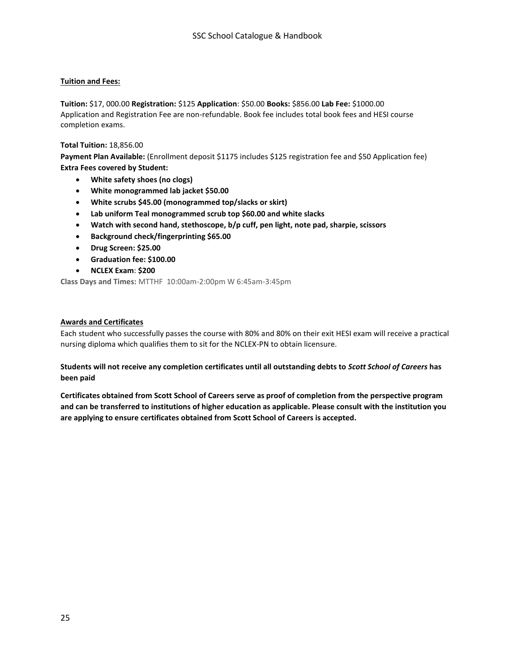## **Tuition and Fees:**

**Tuition:** \$17, 000.00 **Registration:** \$125 **Application**: \$50.00 **Books:** \$856.00 **Lab Fee:** \$1000.00 Application and Registration Fee are non-refundable. Book fee includes total book fees and HESI course completion exams.

## **Total Tuition:** 18,856.00

**Payment Plan Available:** (Enrollment deposit \$1175 includes \$125 registration fee and \$50 Application fee) **Extra Fees covered by Student:** 

- **White safety shoes (no clogs)**
- **White monogrammed lab jacket \$50.00**
- **White scrubs \$45.00 (monogrammed top/slacks or skirt)**
- **Lab uniform Teal monogrammed scrub top \$60.00 and white slacks**
- **Watch with second hand, stethoscope, b/p cuff, pen light, note pad, sharpie, scissors**
- **Background check/fingerprinting \$65.00**
- **Drug Screen: \$25.00**
- **Graduation fee: \$100.00**
- **NCLEX Exam**: **\$200**

**Class Days and Times:** MTTHF 10:00am-2:00pm W 6:45am-3:45pm

## **Awards and Certificates**

Each student who successfully passes the course with 80% and 80% on their exit HESI exam will receive a practical nursing diploma which qualifies them to sit for the NCLEX-PN to obtain licensure.

## **Students will not receive any completion certificates until all outstanding debts to** *Scott School of Careers* **has been paid**

**Certificates obtained from Scott School of Careers serve as proof of completion from the perspective program and can be transferred to institutions of higher education as applicable. Please consult with the institution you are applying to ensure certificates obtained from Scott School of Careers is accepted.**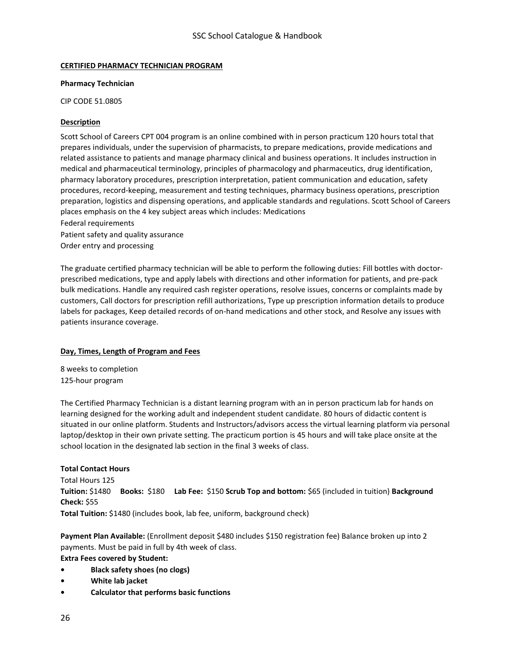## **CERTIFIED PHARMACY TECHNICIAN PROGRAM**

## **Pharmacy Technician**

CIP CODE 51.0805

## **Description**

Scott School of Careers CPT 004 program is an online combined with in person practicum 120 hours total that prepares individuals, under the supervision of pharmacists, to prepare medications, provide medications and related assistance to patients and manage pharmacy clinical and business operations. It includes instruction in medical and pharmaceutical terminology, principles of pharmacology and pharmaceutics, drug identification, pharmacy laboratory procedures, prescription interpretation, patient communication and education, safety procedures, record-keeping, measurement and testing techniques, pharmacy business operations, prescription preparation, logistics and dispensing operations, and applicable standards and regulations. Scott School of Careers places emphasis on the 4 key subject areas which includes: Medications Federal requirements

Patient safety and quality assurance Order entry and processing

The graduate certified pharmacy technician will be able to perform the following duties: Fill bottles with doctorprescribed medications, type and apply labels with directions and other information for patients, and pre-pack bulk medications. Handle any required cash register operations, resolve issues, concerns or complaints made by customers, Call doctors for prescription refill authorizations, Type up prescription information details to produce labels for packages, Keep detailed records of on-hand medications and other stock, and Resolve any issues with patients insurance coverage.

## **Day, Times, Length of Program and Fees**

8 weeks to completion 125-hour program

The Certified Pharmacy Technician is a distant learning program with an in person practicum lab for hands on learning designed for the working adult and independent student candidate. 80 hours of didactic content is situated in our online platform. Students and Instructors/advisors access the virtual learning platform via personal laptop/desktop in their own private setting. The practicum portion is 45 hours and will take place onsite at the school location in the designated lab section in the final 3 weeks of class.

## **Total Contact Hours**

Total Hours 125 **Tuition:** \$1480 **Books:** \$180 **Lab Fee:** \$150 **Scrub Top and bottom:** \$65 (included in tuition) **Background Check:** \$55

**Total Tuition:** \$1480 (includes book, lab fee, uniform, background check)

**Payment Plan Available:** (Enrollment deposit \$480 includes \$150 registration fee) Balance broken up into 2 payments. Must be paid in full by 4th week of class.

**Extra Fees covered by Student:**

- **• Black safety shoes (no clogs)**
- **• White lab jacket**
- **• Calculator that performs basic functions**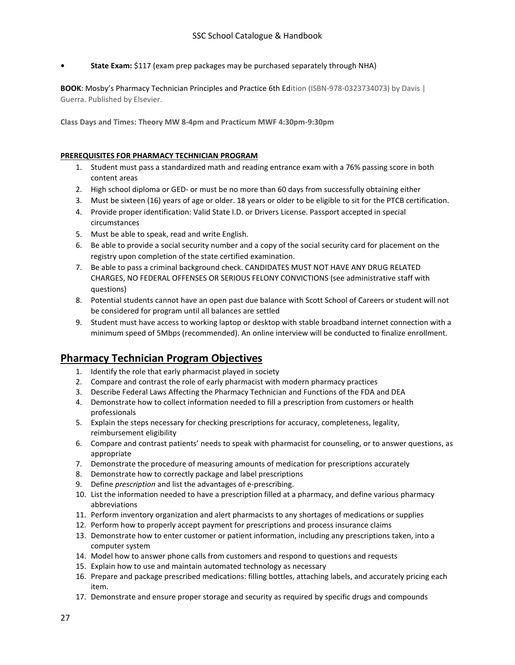**• State Exam:** \$117 (exam prep packages may be purchased separately through NHA)

**BOOK**: Mosby's Pharmacy Technician Principles and Practice 6th Edition (ISBN-978-0323734073) by Davis | Guerra. Published by Elsevier.

**Class Days and Times: Theory MW 8-4pm and Practicum MWF 4:30pm-9:30pm**

#### **PREREQUISITES FOR PHARMACY TECHNICIAN PROGRAM**

- 1. Student must pass a standardized math and reading entrance exam with a 76% passing score in both content areas
- 2. High school diploma or GED- or must be no more than 60 days from successfully obtaining either
- 3. Must be sixteen (16) years of age or older. 18 years or older to be eligible to sit for the PTCB certification.
- 4. Provide proper identification: Valid State I.D. or Drivers License. Passport accepted in special circumstances
- 5. Must be able to speak, read and write English.
- 6. Be able to provide a social security number and a copy of the social security card for placement on the registry upon completion of the state certified examination.
- 7. Be able to pass a criminal background check. CANDIDATES MUST NOT HAVE ANY DRUG RELATED CHARGES, NO FEDERAL OFFENSES OR SERIOUS FELONY CONVICTIONS (see administrative staff with questions)
- 8. Potential students cannot have an open past due balance with Scott School of Careers or student will not be considered for program until all balances are settled
- 9. Student must have access to working laptop or desktop with stable broadband internet connection with a minimum speed of 5Mbps (recommended). An online interview will be conducted to finalize enrollment.

# **Pharmacy Technician Program Objectives**

- 1. Identify the role that early pharmacist played in society
- 2. Compare and contrast the role of early pharmacist with modern pharmacy practices
- 3. Describe Federal Laws Affecting the Pharmacy Technician and Functions of the FDA and DEA
- 4. Demonstrate how to collect information needed to fill a prescription from customers or health professionals
- 5. Explain the steps necessary for checking prescriptions for accuracy, completeness, legality, reimbursement eligibility
- 6. Compare and contrast patients' needs to speak with pharmacist for counseling, or to answer questions, as appropriate
- 7. Demonstrate the procedure of measuring amounts of medication for prescriptions accurately
- 8. Demonstrate how to correctly package and label prescriptions
- 9. Define *prescription* and list the advantages of e-prescribing.
- 10. List the information needed to have a prescription filled at a pharmacy, and define various pharmacy abbreviations
- 11. Perform inventory organization and alert pharmacists to any shortages of medications or supplies
- 12. Perform how to properly accept payment for prescriptions and process insurance claims
- 13. Demonstrate how to enter customer or patient information, including any prescriptions taken, into a computer system
- 14. Model how to answer phone calls from customers and respond to questions and requests
- 15. Explain how to use and maintain automated technology as necessary
- 16. Prepare and package prescribed medications: filling bottles, attaching labels, and accurately pricing each item.
- 17. Demonstrate and ensure proper storage and security as required by specific drugs and compounds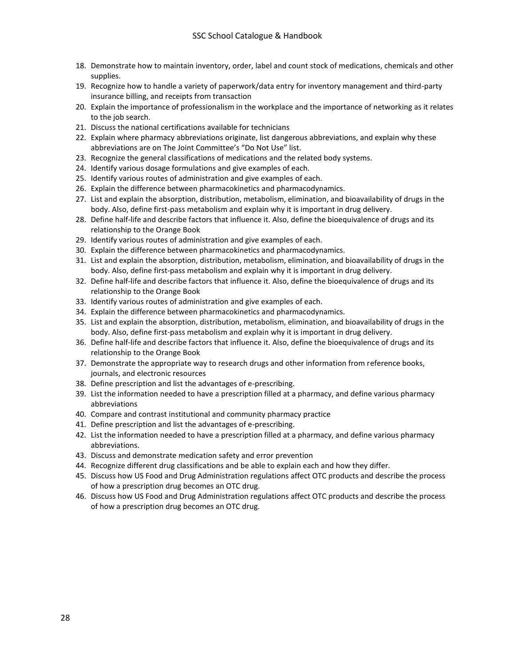- 18. Demonstrate how to maintain inventory, order, label and count stock of medications, chemicals and other supplies.
- 19. Recognize how to handle a variety of paperwork/data entry for inventory management and third-party insurance billing, and receipts from transaction
- 20. Explain the importance of professionalism in the workplace and the importance of networking as it relates to the job search.
- 21. Discuss the national certifications available for technicians
- 22. Explain where pharmacy abbreviations originate, list dangerous abbreviations, and explain why these abbreviations are on The Joint Committee's "Do Not Use" list.
- 23. Recognize the general classifications of medications and the related body systems.
- 24. Identify various dosage formulations and give examples of each.
- 25. Identify various routes of administration and give examples of each.
- 26. Explain the difference between pharmacokinetics and pharmacodynamics.
- 27. List and explain the absorption, distribution, metabolism, elimination, and bioavailability of drugs in the body. Also, define first-pass metabolism and explain why it is important in drug delivery.
- 28. Define half-life and describe factors that influence it. Also, define the bioequivalence of drugs and its relationship to the Orange Book
- 29. Identify various routes of administration and give examples of each.
- 30. Explain the difference between pharmacokinetics and pharmacodynamics.
- 31. List and explain the absorption, distribution, metabolism, elimination, and bioavailability of drugs in the body. Also, define first-pass metabolism and explain why it is important in drug delivery.
- 32. Define half-life and describe factors that influence it. Also, define the bioequivalence of drugs and its relationship to the Orange Book
- 33. Identify various routes of administration and give examples of each.
- 34. Explain the difference between pharmacokinetics and pharmacodynamics.
- 35. List and explain the absorption, distribution, metabolism, elimination, and bioavailability of drugs in the body. Also, define first-pass metabolism and explain why it is important in drug delivery.
- 36. Define half-life and describe factors that influence it. Also, define the bioequivalence of drugs and its relationship to the Orange Book
- 37. Demonstrate the appropriate way to research drugs and other information from reference books, journals, and electronic resources
- 38. Define prescription and list the advantages of e-prescribing.
- 39. List the information needed to have a prescription filled at a pharmacy, and define various pharmacy abbreviations
- 40. Compare and contrast institutional and community pharmacy practice
- 41. Define prescription and list the advantages of e-prescribing.
- 42. List the information needed to have a prescription filled at a pharmacy, and define various pharmacy abbreviations.
- 43. Discuss and demonstrate medication safety and error prevention
- 44. Recognize different drug classifications and be able to explain each and how they differ.
- 45. Discuss how US Food and Drug Administration regulations affect OTC products and describe the process of how a prescription drug becomes an OTC drug.
- 46. Discuss how US Food and Drug Administration regulations affect OTC products and describe the process of how a prescription drug becomes an OTC drug.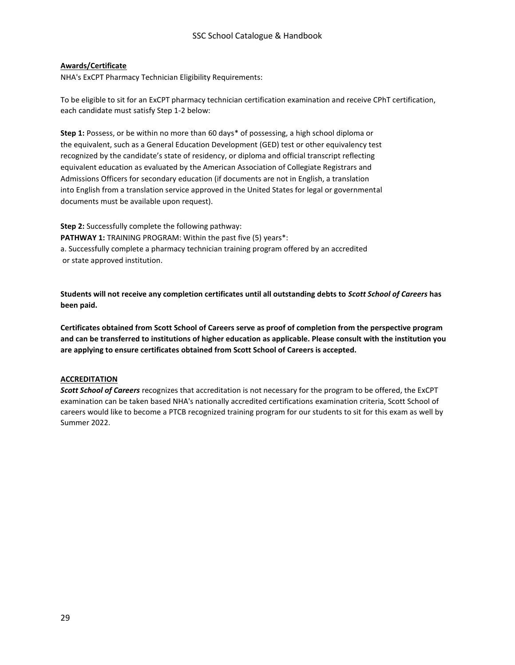## **Awards/Certificate**

NHA's ExCPT Pharmacy Technician Eligibility Requirements:

To be eligible to sit for an ExCPT pharmacy technician certification examination and receive CPhT certification, each candidate must satisfy Step 1-2 below:

**Step 1:** Possess, or be within no more than 60 days\* of possessing, a high school diploma or the equivalent, such as a General Education Development (GED) test or other equivalency test recognized by the candidate's state of residency, or diploma and official transcript reflecting equivalent education as evaluated by the American Association of Collegiate Registrars and Admissions Officers for secondary education (if documents are not in English, a translation into English from a translation service approved in the United States for legal or governmental documents must be available upon request).

**Step 2:** Successfully complete the following pathway: **PATHWAY 1:** TRAINING PROGRAM: Within the past five (5) years\*: a. Successfully complete a pharmacy technician training program offered by an accredited or state approved institution.

**Students will not receive any completion certificates until all outstanding debts to** *Scott School of Careers* **has been paid.**

**Certificates obtained from Scott School of Careers serve as proof of completion from the perspective program and can be transferred to institutions of higher education as applicable. Please consult with the institution you are applying to ensure certificates obtained from Scott School of Careers is accepted.** 

## **ACCREDITATION**

*Scott School of Careers* recognizes that accreditation is not necessary for the program to be offered, the ExCPT examination can be taken based NHA's nationally accredited certifications examination criteria, Scott School of careers would like to become a PTCB recognized training program for our students to sit for this exam as well by Summer 2022.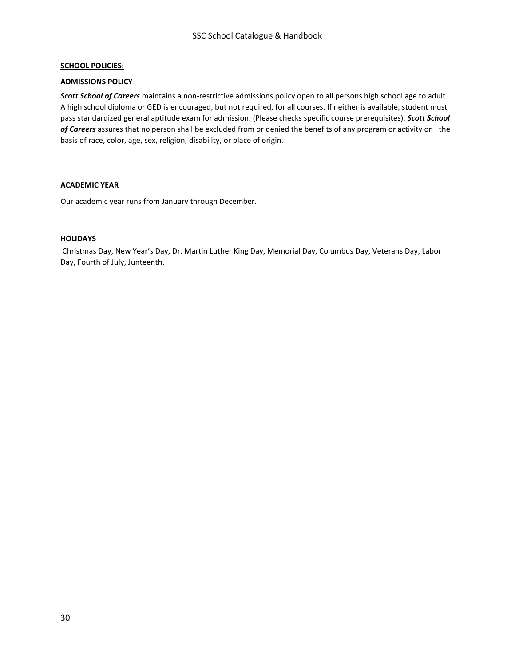## **SCHOOL POLICIES:**

#### **ADMISSIONS POLICY**

*Scott School of Careers* maintains a non-restrictive admissions policy open to all persons high school age to adult. A high school diploma or GED is encouraged, but not required, for all courses. If neither is available, student must pass standardized general aptitude exam for admission. (Please checks specific course prerequisites). *Scott School of Careers* assures that no person shall be excluded from or denied the benefits of any program or activity on the basis of race, color, age, sex, religion, disability, or place of origin.

## **ACADEMIC YEAR**

Our academic year runs from January through December.

#### **HOLIDAYS**

Christmas Day, New Year's Day, Dr. Martin Luther King Day, Memorial Day, Columbus Day, Veterans Day, Labor Day, Fourth of July, Junteenth.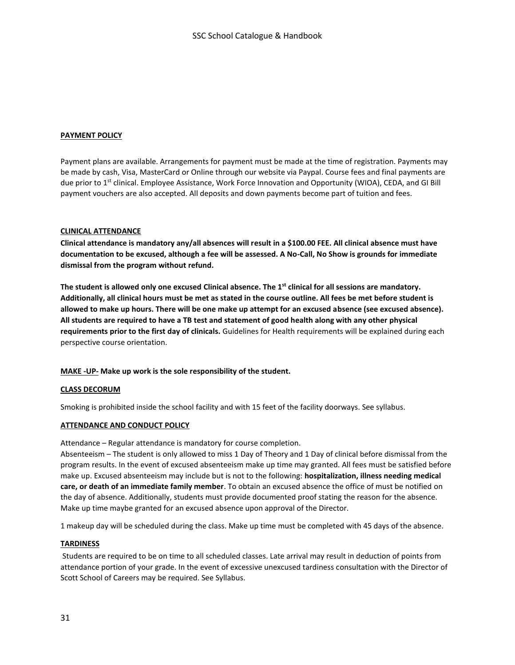## **PAYMENT POLICY**

Payment plans are available. Arrangements for payment must be made at the time of registration. Payments may be made by cash, Visa, MasterCard or Online through our website via Paypal. Course fees and final payments are due prior to 1<sup>st</sup> clinical. Employee Assistance, Work Force Innovation and Opportunity (WIOA), CEDA, and GI Bill payment vouchers are also accepted. All deposits and down payments become part of tuition and fees.

#### **CLINICAL ATTENDANCE**

**Clinical attendance is mandatory any/all absences will result in a \$100.00 FEE. All clinical absence must have documentation to be excused, although a fee will be assessed. A No-Call, No Show is grounds for immediate dismissal from the program without refund.** 

**The student is allowed only one excused Clinical absence. The 1st clinical for all sessions are mandatory. Additionally, all clinical hours must be met as stated in the course outline. All fees be met before student is allowed to make up hours. There will be one make up attempt for an excused absence (see excused absence). All students are required to have a TB test and statement of good health along with any other physical requirements prior to the first day of clinicals.** Guidelines for Health requirements will be explained during each perspective course orientation.

## **MAKE -UP- Make up work is the sole responsibility of the student.**

#### **CLASS DECORUM**

Smoking is prohibited inside the school facility and with 15 feet of the facility doorways. See syllabus.

#### **ATTENDANCE AND CONDUCT POLICY**

Attendance – Regular attendance is mandatory for course completion.

Absenteeism – The student is only allowed to miss 1 Day of Theory and 1 Day of clinical before dismissal from the program results. In the event of excused absenteeism make up time may granted. All fees must be satisfied before make up. Excused absenteeism may include but is not to the following: **hospitalization, illness needing medical care, or death of an immediate family member**. To obtain an excused absence the office of must be notified on the day of absence. Additionally, students must provide documented proof stating the reason for the absence. Make up time maybe granted for an excused absence upon approval of the Director.

1 makeup day will be scheduled during the class. Make up time must be completed with 45 days of the absence.

#### **TARDINESS**

Students are required to be on time to all scheduled classes. Late arrival may result in deduction of points from attendance portion of your grade. In the event of excessive unexcused tardiness consultation with the Director of Scott School of Careers may be required. See Syllabus.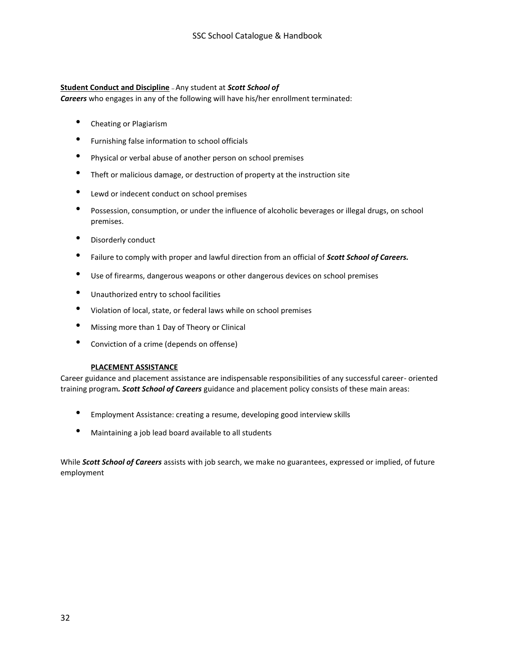## **Student Conduct and Discipline** – Any student at *Scott School of*

*Careers* who engages in any of the following will have his/her enrollment terminated:

- Cheating or Plagiarism
- Furnishing false information to school officials
- Physical or verbal abuse of another person on school premises
- Theft or malicious damage, or destruction of property at the instruction site
- Lewd or indecent conduct on school premises
- Possession, consumption, or under the influence of alcoholic beverages or illegal drugs, on school premises.
- Disorderly conduct
- Failure to comply with proper and lawful direction from an official of *Scott School of Careers.*
- Use of firearms, dangerous weapons or other dangerous devices on school premises
- Unauthorized entry to school facilities
- Violation of local, state, or federal laws while on school premises
- Missing more than 1 Day of Theory or Clinical
- Conviction of a crime (depends on offense)

## **PLACEMENT ASSISTANCE**

Career guidance and placement assistance are indispensable responsibilities of any successful career- oriented training program*. Scott School of Careers* guidance and placement policy consists of these main areas:

- Employment Assistance: creating a resume, developing good interview skills
- Maintaining a job lead board available to all students

While *Scott School of Careers* assists with job search, we make no guarantees, expressed or implied, of future employment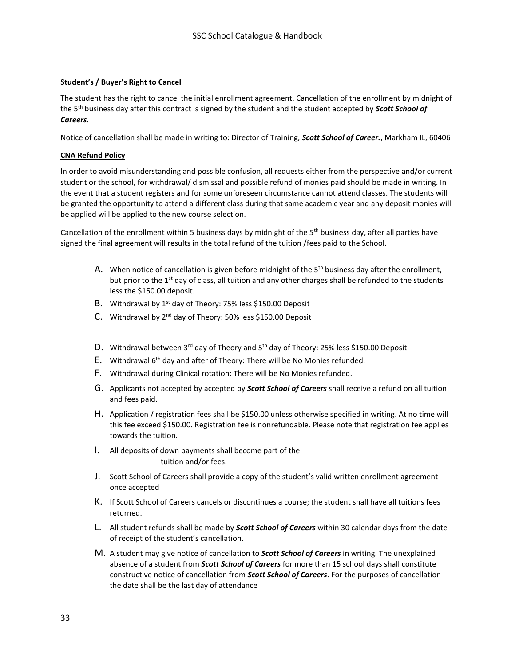## **Student's / Buyer's Right to Cancel**

The student has the right to cancel the initial enrollment agreement. Cancellation of the enrollment by midnight of the 5th business day after this contract is signed by the student and the student accepted by *Scott School of Careers.* 

Notice of cancellation shall be made in writing to: Director of Training, *Scott School of Career.*, Markham IL, 60406

## **CNA Refund Policy**

In order to avoid misunderstanding and possible confusion, all requests either from the perspective and/or current student or the school, for withdrawal/ dismissal and possible refund of monies paid should be made in writing. In the event that a student registers and for some unforeseen circumstance cannot attend classes. The students will be granted the opportunity to attend a different class during that same academic year and any deposit monies will be applied will be applied to the new course selection.

Cancellation of the enrollment within 5 business days by midnight of the  $5<sup>th</sup>$  business day, after all parties have signed the final agreement will results in the total refund of the tuition /fees paid to the School.

- A. When notice of cancellation is given before midnight of the  $5<sup>th</sup>$  business day after the enrollment, but prior to the 1<sup>st</sup> day of class, all tuition and any other charges shall be refunded to the students less the \$150.00 deposit.
- B. Withdrawal by 1<sup>st</sup> day of Theory: 75% less \$150.00 Deposit
- C. Withdrawal by 2<sup>nd</sup> day of Theory: 50% less \$150.00 Deposit
- D. Withdrawal between  $3^{rd}$  day of Theory and  $5^{th}$  day of Theory: 25% less \$150.00 Deposit
- E. Withdrawal 6<sup>th</sup> day and after of Theory: There will be No Monies refunded.
- F. Withdrawal during Clinical rotation: There will be No Monies refunded.
- G. Applicants not accepted by accepted by *Scott School of Careers* shall receive a refund on all tuition and fees paid.
- H. Application / registration fees shall be \$150.00 unless otherwise specified in writing. At no time will this fee exceed \$150.00. Registration fee is nonrefundable. Please note that registration fee applies towards the tuition.
- I. All deposits of down payments shall become part of the tuition and/or fees.
- J. Scott School of Careers shall provide a copy of the student's valid written enrollment agreement once accepted
- K. If Scott School of Careers cancels or discontinues a course; the student shall have all tuitions fees returned.
- L. All student refunds shall be made by *Scott School of Careers* within 30 calendar days from the date of receipt of the student's cancellation.
- M. A student may give notice of cancellation to *Scott School of Careers* in writing. The unexplained absence of a student from *Scott School of Careers* for more than 15 school days shall constitute constructive notice of cancellation from *Scott School of Careers*. For the purposes of cancellation the date shall be the last day of attendance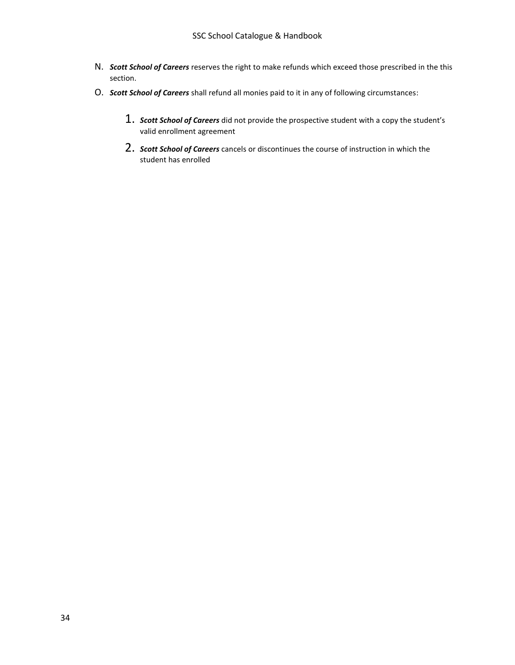- N. *Scott School of Careers* reserves the right to make refunds which exceed those prescribed in the this section.
- O. *Scott School of Careers* shall refund all monies paid to it in any of following circumstances:
	- 1. *Scott School of Careers* did not provide the prospective student with a copy the student's valid enrollment agreement
	- 2. *Scott School of Careers* cancels or discontinues the course of instruction in which the student has enrolled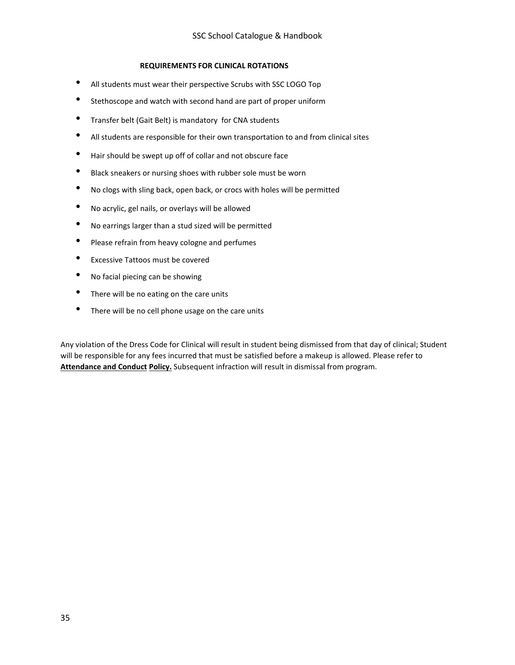## **REQUIREMENTS FOR CLINICAL ROTATIONS**

- All students must wear their perspective Scrubs with SSC LOGO Top
- Stethoscope and watch with second hand are part of proper uniform
- Transfer belt (Gait Belt) is mandatory for CNA students
- All students are responsible for their own transportation to and from clinical sites
- Hair should be swept up off of collar and not obscure face
- Black sneakers or nursing shoes with rubber sole must be worn
- No clogs with sling back, open back, or crocs with holes will be permitted
- No acrylic, gel nails, or overlays will be allowed
- No earrings larger than a stud sized will be permitted
- Please refrain from heavy cologne and perfumes
- Excessive Tattoos must be covered
- No facial piecing can be showing
- There will be no eating on the care units
- There will be no cell phone usage on the care units

Any violation of the Dress Code for Clinical will result in student being dismissed from that day of clinical; Student will be responsible for any fees incurred that must be satisfied before a makeup is allowed. Please refer to **Attendance and Conduct Policy.** Subsequent infraction will result in dismissal from program.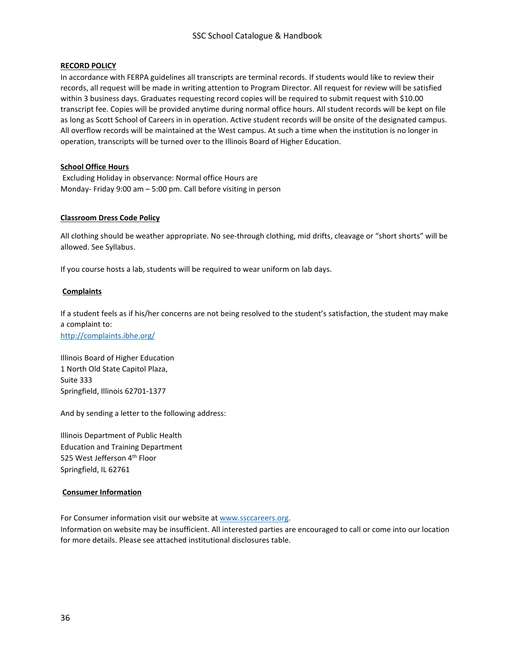## **RECORD POLICY**

In accordance with FERPA guidelines all transcripts are terminal records. If students would like to review their records, all request will be made in writing attention to Program Director. All request for review will be satisfied within 3 business days. Graduates requesting record copies will be required to submit request with \$10.00 transcript fee. Copies will be provided anytime during normal office hours. All student records will be kept on file as long as Scott School of Careers in in operation. Active student records will be onsite of the designated campus. All overflow records will be maintained at the West campus. At such a time when the institution is no longer in operation, transcripts will be turned over to the Illinois Board of Higher Education.

## **School Office Hours**

Excluding Holiday in observance: Normal office Hours are Monday- Friday 9:00 am – 5:00 pm. Call before visiting in person

#### **Classroom Dress Code Policy**

All clothing should be weather appropriate. No see-through clothing, mid drifts, cleavage or "short shorts" will be allowed. See Syllabus.

If you course hosts a lab, students will be required to wear uniform on lab days.

#### **Complaints**

If a student feels as if his/her concerns are not being resolved to the student's satisfaction, the student may make a complaint to:

<http://complaints.ibhe.org/>

Illinois Board of Higher Education 1 North Old State Capitol Plaza, Suite 333 Springfield, Illinois 62701-1377

And by sending a letter to the following address:

Illinois Department of Public Health Education and Training Department 525 West Jefferson 4<sup>th</sup> Floor Springfield, IL 62761

#### **Consumer Information**

For Consumer information visit our website a[t www.ssccareers.org.](http://www.ssccareers.org/) Information on website may be insufficient. All interested parties are encouraged to call or come into our location for more details. Please see attached institutional disclosures table.